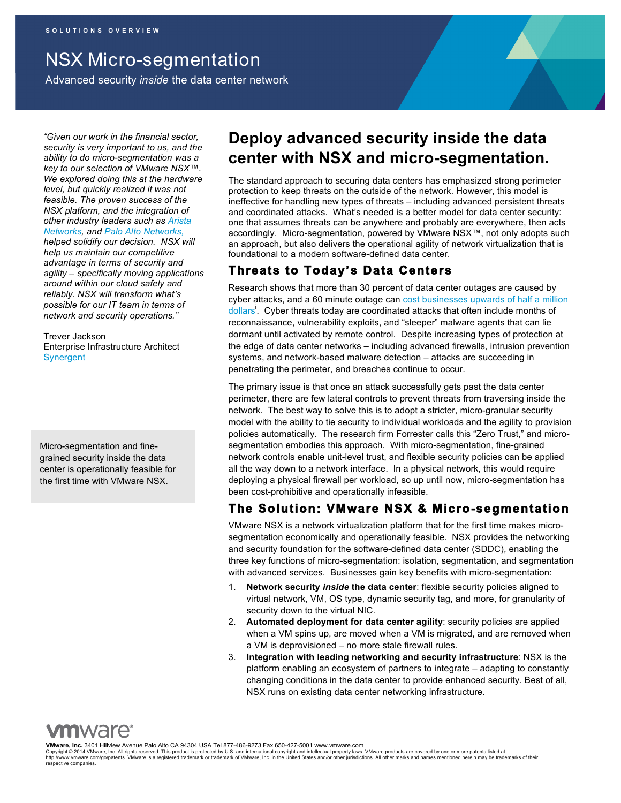NSX Micro-segmentation

Advanced security *inside* the data center network

*"Given our work in the financial sector, security is very important to us, and the ability to do micro-segmentation was a key to our selection of VMware NSX™. We explored doing this at the hardware level, but quickly realized it was not feasible. The proven success of the NSX platform, and the integration of other industry leaders such as Arista Networks, and Palo Alto Networks, helped solidify our decision. NSX will help us maintain our competitive advantage in terms of security and agility – specifically moving applications around within our cloud safely and reliably. NSX will transform what's possible for our IT team in terms of network and security operations."*

Trever Jackson Enterprise Infrastructure Architect Synergent

Micro-segmentation and finegrained security inside the data center is operationally feasible for the first time with VMware NSX.

## **Deploy advanced security inside the data center with NSX and micro-segmentation.**

The standard approach to securing data centers has emphasized strong perimeter protection to keep threats on the outside of the network. However, this model is ineffective for handling new types of threats – including advanced persistent threats and coordinated attacks. What's needed is a better model for data center security: one that assumes threats can be anywhere and probably are everywhere, then acts accordingly. Micro-segmentation, powered by VMware NSX™, not only adopts such an approach, but also delivers the operational agility of network virtualization that is foundational to a modern software-defined data center.

### **Threats to Today's Data Centers**

Research shows that more than 30 percent of data center outages are caused by cyber attacks, and a 60 minute outage can cost businesses upwards of half a million dollars<sup>i</sup>. Cyber threats today are coordinated attacks that often include months of reconnaissance, vulnerability exploits, and "sleeper" malware agents that can lie dormant until activated by remote control. Despite increasing types of protection at the edge of data center networks – including advanced firewalls, intrusion prevention systems, and network-based malware detection – attacks are succeeding in penetrating the perimeter, and breaches continue to occur.

The primary issue is that once an attack successfully gets past the data center perimeter, there are few lateral controls to prevent threats from traversing inside the network. The best way to solve this is to adopt a stricter, micro-granular security model with the ability to tie security to individual workloads and the agility to provision policies automatically. The research firm Forrester calls this "Zero Trust," and microsegmentation embodies this approach. With micro-segmentation, fine-grained network controls enable unit-level trust, and flexible security policies can be applied all the way down to a network interface. In a physical network, this would require deploying a physical firewall per workload, so up until now, micro-segmentation has been cost-prohibitive and operationally infeasible.

## **The Solution: VMware NSX & Micro-segmentation**

VMware NSX is a network virtualization platform that for the first time makes microsegmentation economically and operationally feasible. NSX provides the networking and security foundation for the software-defined data center (SDDC), enabling the three key functions of micro-segmentation: isolation, segmentation, and segmentation with advanced services. Businesses gain key benefits with micro-segmentation:

- 1. **Network security** *inside* **the data center**: flexible security policies aligned to virtual network, VM, OS type, dynamic security tag, and more, for granularity of security down to the virtual NIC.
- 2. **Automated deployment for data center agility**: security policies are applied when a VM spins up, are moved when a VM is migrated, and are removed when a VM is deprovisioned – no more stale firewall rules.
- 3. **Integration with leading networking and security infrastructure**: NSX is the platform enabling an ecosystem of partners to integrate – adapting to constantly changing conditions in the data center to provide enhanced security. Best of all, NSX runs on existing data center networking infrastructure.

**VMware, Inc.** 3401 Hillview Avenue Palo Alto CA 94304 USA Tel 877-486-9273 Fax 650-427-5001 www.vmware.com

Copyright © 2014 VMware, Inc. All rights reserved. This product is protected by U.S. and international copyright and intellectual property laws. VMware products are covered by one or more patents listed at<br>http://www.vmwa